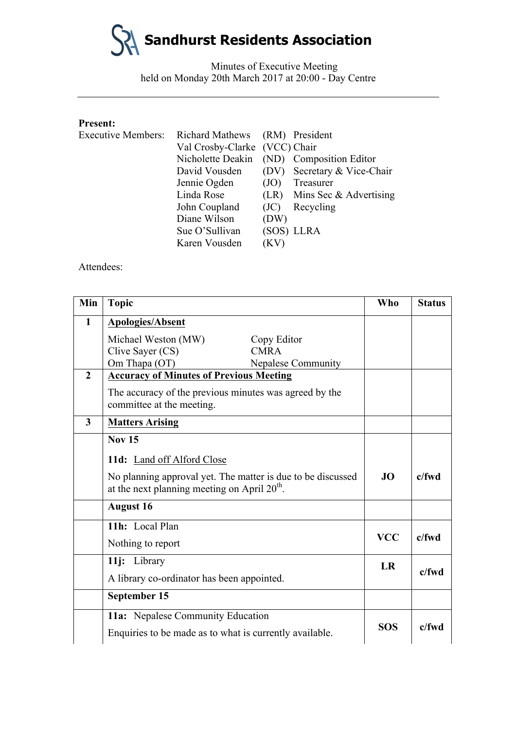**Sandhurst Residents Association**

Minutes of Executive Meeting held on Monday 20th March 2017 at 20:00 - Day Centre

#### **Present:**

| <b>Executive Members:</b> | Richard Mathews (RM) President |      |                                           |
|---------------------------|--------------------------------|------|-------------------------------------------|
|                           | Val Crosby-Clarke (VCC) Chair  |      |                                           |
|                           |                                |      | Nicholette Deakin (ND) Composition Editor |
|                           | David Vousden                  |      | (DV) Secretary & Vice-Chair               |
|                           | Jennie Ogden                   | (JO) | Treasurer                                 |
|                           | Linda Rose                     |      | (LR) Mins Sec $&$ Advertising             |
|                           | John Coupland                  | (JC) | Recycling                                 |
|                           | Diane Wilson                   | (DW) |                                           |
|                           | Sue O'Sullivan                 |      | (SOS) LLRA                                |
|                           | Karen Vousden                  | (KV) |                                           |

Attendees:

| Min            | <b>Topic</b>                                                                                                            |                           | <b>Who</b> | <b>Status</b> |
|----------------|-------------------------------------------------------------------------------------------------------------------------|---------------------------|------------|---------------|
| $\mathbf{1}$   | <b>Apologies/Absent</b>                                                                                                 |                           |            |               |
|                | Michael Weston (MW)                                                                                                     | Copy Editor               |            |               |
|                | Clive Sayer (CS)                                                                                                        | <b>CMRA</b>               |            |               |
|                | Om Thapa (OT)                                                                                                           | <b>Nepalese Community</b> |            |               |
| $\overline{2}$ | <b>Accuracy of Minutes of Previous Meeting</b>                                                                          |                           |            |               |
|                | The accuracy of the previous minutes was agreed by the<br>committee at the meeting.                                     |                           |            |               |
| 3              | <b>Matters Arising</b>                                                                                                  |                           |            |               |
|                | <b>Nov 15</b>                                                                                                           |                           |            |               |
|                | 11d: Land off Alford Close                                                                                              |                           |            |               |
|                | No planning approval yet. The matter is due to be discussed<br>at the next planning meeting on April 20 <sup>th</sup> . |                           | JO.        | $c$ /fwd      |
|                | <b>August 16</b>                                                                                                        |                           |            |               |
|                | 11h: Local Plan                                                                                                         |                           |            |               |
|                | Nothing to report                                                                                                       |                           | <b>VCC</b> | $c$ /fwd      |
|                | 11j: Library                                                                                                            |                           | <b>LR</b>  |               |
|                | A library co-ordinator has been appointed.                                                                              |                           |            | $c$ /fwd      |
|                | September 15                                                                                                            |                           |            |               |
|                | 11a: Nepalese Community Education                                                                                       |                           |            |               |
|                | Enquiries to be made as to what is currently available.                                                                 |                           | <b>SOS</b> | $c$ /fwd      |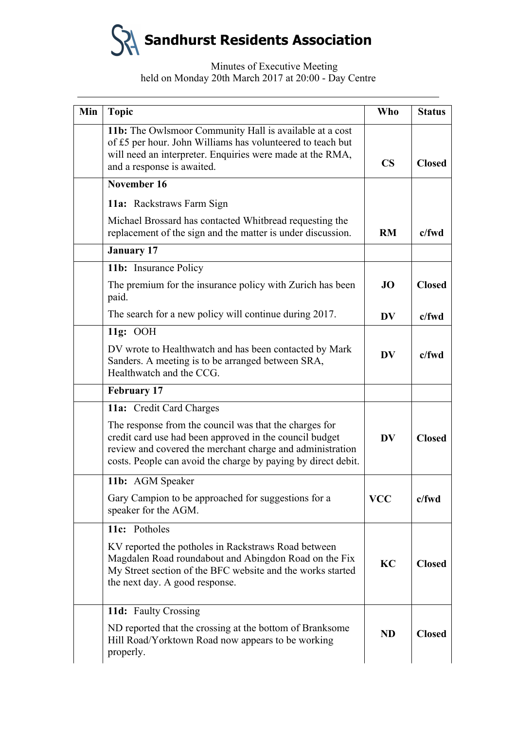

# Minutes of Executive Meeting held on Monday 20th March 2017 at 20:00 - Day Centre

| Min | <b>Topic</b>                                                                                                                                                                                                                                    | <b>Who</b>    | <b>Status</b> |
|-----|-------------------------------------------------------------------------------------------------------------------------------------------------------------------------------------------------------------------------------------------------|---------------|---------------|
|     | 11b: The Owlsmoor Community Hall is available at a cost<br>of £5 per hour. John Williams has volunteered to teach but<br>will need an interpreter. Enquiries were made at the RMA,<br>and a response is awaited.                                | $\mathbf{CS}$ | <b>Closed</b> |
|     | November 16                                                                                                                                                                                                                                     |               |               |
|     | 11a: Rackstraws Farm Sign                                                                                                                                                                                                                       |               |               |
|     | Michael Brossard has contacted Whitbread requesting the<br>replacement of the sign and the matter is under discussion.                                                                                                                          | RM            | $c$ /fwd      |
|     | <b>January 17</b>                                                                                                                                                                                                                               |               |               |
|     | 11b: Insurance Policy                                                                                                                                                                                                                           |               |               |
|     | The premium for the insurance policy with Zurich has been<br>paid.                                                                                                                                                                              | <b>JO</b>     | <b>Closed</b> |
|     | The search for a new policy will continue during 2017.                                                                                                                                                                                          | <b>DV</b>     | c/fwd         |
|     | 11g: OOH                                                                                                                                                                                                                                        |               |               |
|     | DV wrote to Healthwatch and has been contacted by Mark<br>Sanders. A meeting is to be arranged between SRA,<br>Healthwatch and the CCG.                                                                                                         | <b>DV</b>     | c/fwd         |
|     | <b>February 17</b>                                                                                                                                                                                                                              |               |               |
|     | 11a: Credit Card Charges                                                                                                                                                                                                                        |               |               |
|     | The response from the council was that the charges for<br>credit card use had been approved in the council budget<br>review and covered the merchant charge and administration<br>costs. People can avoid the charge by paying by direct debit. | <b>DV</b>     | <b>Closed</b> |
|     | 11b: AGM Speaker                                                                                                                                                                                                                                |               |               |
|     | Gary Campion to be approached for suggestions for a<br>speaker for the AGM.                                                                                                                                                                     | <b>VCC</b>    | $c$ /fwd      |
|     | 11c: Potholes                                                                                                                                                                                                                                   |               |               |
|     | KV reported the potholes in Rackstraws Road between<br>Magdalen Road roundabout and Abingdon Road on the Fix<br>My Street section of the BFC website and the works started<br>the next day. A good response.                                    | KC            | <b>Closed</b> |
|     | 11d: Faulty Crossing                                                                                                                                                                                                                            |               |               |
|     | ND reported that the crossing at the bottom of Branksome<br>Hill Road/Yorktown Road now appears to be working<br>properly.                                                                                                                      | <b>ND</b>     | <b>Closed</b> |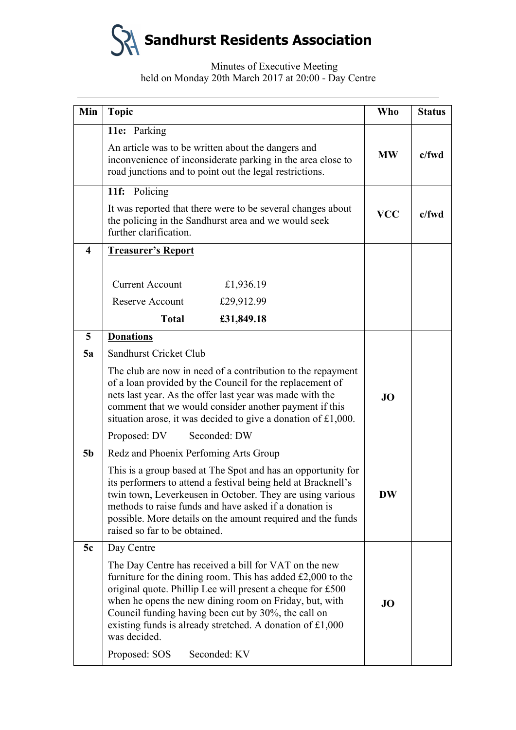**Sandhurst Residents Association S** 

# Minutes of Executive Meeting held on Monday 20th March 2017 at 20:00 - Day Centre

| Min                     | <b>Topic</b>                                                                                                                                                                                                                                                                                                                                                                                         | <b>Who</b> | <b>Status</b> |
|-------------------------|------------------------------------------------------------------------------------------------------------------------------------------------------------------------------------------------------------------------------------------------------------------------------------------------------------------------------------------------------------------------------------------------------|------------|---------------|
|                         | 11e: Parking                                                                                                                                                                                                                                                                                                                                                                                         |            |               |
|                         | An article was to be written about the dangers and<br>inconvenience of inconsiderate parking in the area close to<br>road junctions and to point out the legal restrictions.                                                                                                                                                                                                                         | <b>MW</b>  | $c$ /fwd      |
|                         | 11f: Policing                                                                                                                                                                                                                                                                                                                                                                                        |            |               |
|                         | It was reported that there were to be several changes about<br>the policing in the Sandhurst area and we would seek<br>further clarification.                                                                                                                                                                                                                                                        | <b>VCC</b> | $c$ /fwd      |
| $\overline{\mathbf{4}}$ | <b>Treasurer's Report</b>                                                                                                                                                                                                                                                                                                                                                                            |            |               |
|                         |                                                                                                                                                                                                                                                                                                                                                                                                      |            |               |
|                         | <b>Current Account</b><br>£1,936.19                                                                                                                                                                                                                                                                                                                                                                  |            |               |
|                         | £29,912.99<br><b>Reserve Account</b>                                                                                                                                                                                                                                                                                                                                                                 |            |               |
|                         | <b>Total</b><br>£31,849.18                                                                                                                                                                                                                                                                                                                                                                           |            |               |
| 5                       | <b>Donations</b>                                                                                                                                                                                                                                                                                                                                                                                     |            |               |
| 5a                      | Sandhurst Cricket Club                                                                                                                                                                                                                                                                                                                                                                               |            |               |
|                         | The club are now in need of a contribution to the repayment<br>of a loan provided by the Council for the replacement of<br>nets last year. As the offer last year was made with the<br>comment that we would consider another payment if this<br>situation arose, it was decided to give a donation of £1,000.<br>Seconded: DW<br>Proposed: DV                                                       | JO         |               |
| 5 <sub>b</sub>          | Redz and Phoenix Perfoming Arts Group                                                                                                                                                                                                                                                                                                                                                                |            |               |
|                         | This is a group based at The Spot and has an opportunity for<br>its performers to attend a festival being held at Bracknell's<br>twin town, Leverkeusen in October. They are using various<br>methods to raise funds and have asked if a donation is<br>possible. More details on the amount required and the funds<br>raised so far to be obtained.                                                 | <b>DW</b>  |               |
| 5c                      | Day Centre                                                                                                                                                                                                                                                                                                                                                                                           |            |               |
|                         | The Day Centre has received a bill for VAT on the new<br>furniture for the dining room. This has added $£2,000$ to the<br>original quote. Phillip Lee will present a cheque for £500<br>when he opens the new dining room on Friday, but, with<br>Council funding having been cut by 30%, the call on<br>existing funds is already stretched. A donation of $£1,000$<br>was decided.<br>Seconded: KV | <b>JO</b>  |               |
|                         | Proposed: SOS                                                                                                                                                                                                                                                                                                                                                                                        |            |               |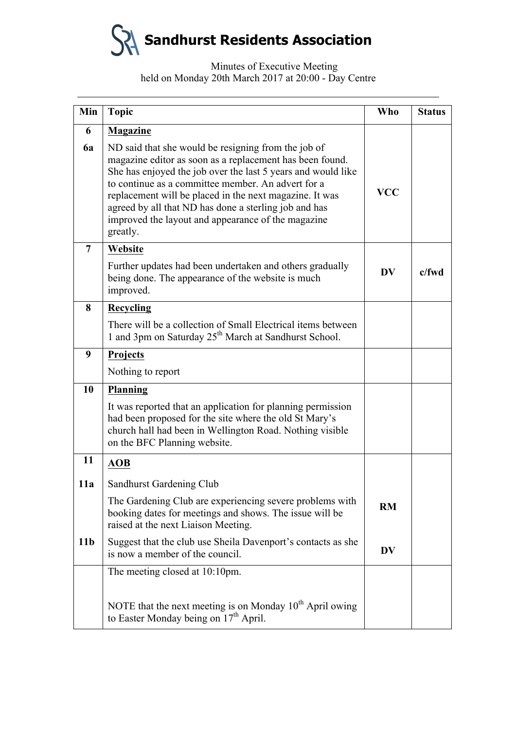**Sandhurst Residents Association**

# Minutes of Executive Meeting held on Monday 20th March 2017 at 20:00 - Day Centre

| Min             | <b>Topic</b>                                                                                                                                                                                                                                                                                                                                                                                                                | <b>Who</b> | <b>Status</b> |
|-----------------|-----------------------------------------------------------------------------------------------------------------------------------------------------------------------------------------------------------------------------------------------------------------------------------------------------------------------------------------------------------------------------------------------------------------------------|------------|---------------|
| 6               | <b>Magazine</b>                                                                                                                                                                                                                                                                                                                                                                                                             |            |               |
| 6a              | ND said that she would be resigning from the job of<br>magazine editor as soon as a replacement has been found.<br>She has enjoyed the job over the last 5 years and would like<br>to continue as a committee member. An advert for a<br>replacement will be placed in the next magazine. It was<br>agreed by all that ND has done a sterling job and has<br>improved the layout and appearance of the magazine<br>greatly. | <b>VCC</b> |               |
| $\overline{7}$  | Website                                                                                                                                                                                                                                                                                                                                                                                                                     |            |               |
|                 | Further updates had been undertaken and others gradually<br>being done. The appearance of the website is much<br>improved.                                                                                                                                                                                                                                                                                                  | <b>DV</b>  | $c$ /fwd      |
| 8               | <b>Recycling</b>                                                                                                                                                                                                                                                                                                                                                                                                            |            |               |
|                 | There will be a collection of Small Electrical items between<br>1 and 3pm on Saturday 25 <sup>th</sup> March at Sandhurst School.                                                                                                                                                                                                                                                                                           |            |               |
| 9               | <b>Projects</b>                                                                                                                                                                                                                                                                                                                                                                                                             |            |               |
|                 | Nothing to report                                                                                                                                                                                                                                                                                                                                                                                                           |            |               |
| 10              | <b>Planning</b>                                                                                                                                                                                                                                                                                                                                                                                                             |            |               |
|                 | It was reported that an application for planning permission<br>had been proposed for the site where the old St Mary's<br>church hall had been in Wellington Road. Nothing visible<br>on the BFC Planning website.                                                                                                                                                                                                           |            |               |
| 11              | <b>AOB</b>                                                                                                                                                                                                                                                                                                                                                                                                                  |            |               |
| 11a             | Sandhurst Gardening Club                                                                                                                                                                                                                                                                                                                                                                                                    |            |               |
|                 | The Gardening Club are experiencing severe problems with<br>booking dates for meetings and shows. The issue will be<br>raised at the next Liaison Meeting.                                                                                                                                                                                                                                                                  | <b>RM</b>  |               |
| 11 <sub>b</sub> | Suggest that the club use Sheila Davenport's contacts as she<br>is now a member of the council.                                                                                                                                                                                                                                                                                                                             | <b>DV</b>  |               |
|                 | The meeting closed at 10:10pm.                                                                                                                                                                                                                                                                                                                                                                                              |            |               |
|                 | NOTE that the next meeting is on Monday 10 <sup>th</sup> April owing<br>to Easter Monday being on 17 <sup>th</sup> April.                                                                                                                                                                                                                                                                                                   |            |               |